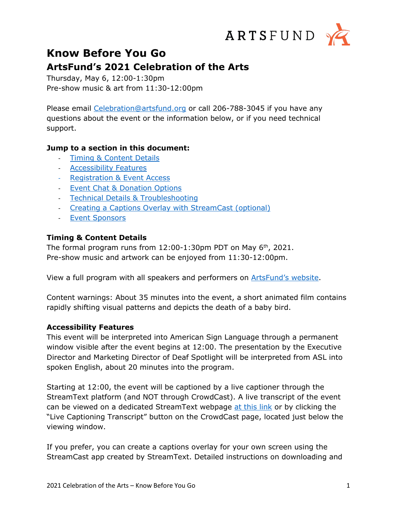

# **Know Before You Go**

**ArtsFund's 2021 Celebration of the Arts**

Thursday, May 6, 12:00-1:30pm Pre-show music & art from 11:30-12:00pm

Please email [Celebration@artsfund.org](mailto:Celebration@artsfund.org) or call 206-788-3045 if you have any questions about the event or the information below, or if you need technical support.

# **Jump to a section in this document:**

- [Timing & Content Details](#page-0-0)
- [Accessibility Features](#page-0-1)
- [Registration & Event Access](#page-1-0)
- [Event Chat & Donation](#page-1-1) Options
- [Technical Details & Troubleshooting](#page-1-2)
- [Creating a Captions Overlay with StreamCast \(optional\)](#page-2-0)
- [Event Sponsors](#page-3-0)

### <span id="page-0-0"></span>**Timing & Content Details**

The formal program runs from  $12:00-1:30$ pm PDT on May 6<sup>th</sup>, 2021. Pre-show music and artwork can be enjoyed from 11:30-12:00pm.

View a full program with all speakers and performers on **ArtsFund's website**.

Content warnings: About 35 minutes into the event, a short animated film contains rapidly shifting visual patterns and depicts the death of a baby bird.

### <span id="page-0-1"></span>**Accessibility Features**

This event will be interpreted into American Sign Language through a permanent window visible after the event begins at 12:00. The presentation by the Executive Director and Marketing Director of Deaf Spotlight will be interpreted from ASL into spoken English, about 20 minutes into the program.

Starting at 12:00, the event will be captioned by a live captioner through the StreamText platform (and NOT through CrowdCast). A live transcript of the event can be viewed on a dedicated StreamText webpage [at this link](https://www.streamtext.net/player?event=ArtsFundCelebration2021) or by clicking the "Live Captioning Transcript" button on the CrowdCast page, located just below the viewing window.

If you prefer, you can create a captions overlay for your own screen using the StreamCast app created by StreamText. Detailed instructions on downloading and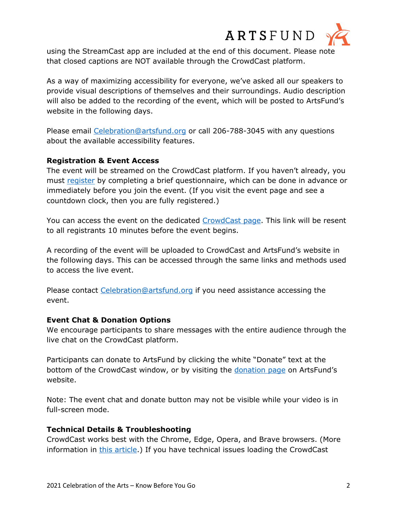

using the StreamCast app are included at the end of this document. Please note that closed captions are NOT available through the CrowdCast platform.

As a way of maximizing accessibility for everyone, we've asked all our speakers to provide visual descriptions of themselves and their surroundings. Audio description will also be added to the recording of the event, which will be posted to ArtsFund's website in the following days.

Please email [Celebration@artsfund.org](mailto:Celebration@artsfund.org) or call 206-788-3045 with any questions about the available accessibility features.

### <span id="page-1-0"></span>**Registration & Event Access**

The event will be streamed on the CrowdCast platform. If you haven't already, you must [register](https://www.crowdcast.io/e/pluretn8) by completing a brief questionnaire, which can be done in advance or immediately before you join the event. (If you visit the event page and see a countdown clock, then you are fully registered.)

You can access the event on the dedicated [CrowdCast page.](https://www.crowdcast.io/e/pluretn8) This link will be resent to all registrants 10 minutes before the event begins.

A recording of the event will be uploaded to CrowdCast and ArtsFund's website in the following days. This can be accessed through the same links and methods used to access the live event.

Please contact [Celebration@artsfund.org](mailto:Celebration@artsfund.org) if you need assistance accessing the event.

#### <span id="page-1-1"></span>**Event Chat & Donation Options**

We encourage participants to share messages with the entire audience through the live chat on the CrowdCast platform.

Participants can donate to ArtsFund by clicking the white "Donate" text at the bottom of the CrowdCast window, or by visiting the [donation page](https://www.artsfund.org/luncheon-donation/) on ArtsFund's website.

Note: The event chat and donate button may not be visible while your video is in full-screen mode.

#### <span id="page-1-2"></span>**Technical Details & Troubleshooting**

CrowdCast works best with the Chrome, Edge, Opera, and Brave browsers. (More information in [this article.](https://docs.crowdcast.io/en/articles/784-what-are-the-compatible-browsers)) If you have technical issues loading the CrowdCast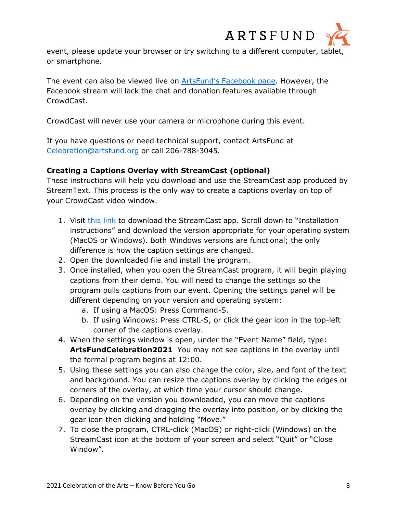

event, please update your browser or try switching to a different computer, tablet, or smartphone.

The event can also be viewed live on [ArtsFund's Facebook page.](https://www.facebook.com/search/top?q=ArtsFund) However, the Facebook stream will lack the chat and donation features available through CrowdCast.

CrowdCast will never use your camera or microphone during this event.

If you have questions or need technical support, contact ArtsFund at [Celebration@artsfund.org](mailto:Celebration@artsfund.org) or call 206-788-3045.

# <span id="page-2-0"></span>**Creating a Captions Overlay with StreamCast (optional)**

These instructions will help you download and use the StreamCast app produced by StreamText. This process is the only way to create a captions overlay on top of your CrowdCast video window.

- 1. Visit [this link](https://streamtext.zendesk.com/hc/en-us/articles/209995746-StreamCast-instructions-and-overview#Installation) to download the StreamCast app. Scroll down to "Installation instructions" and download the version appropriate for your operating system (MacOS or Windows). Both Windows versions are functional; the only difference is how the caption settings are changed.
- 2. Open the downloaded file and install the program.
- 3. Once installed, when you open the StreamCast program, it will begin playing captions from their demo. You will need to change the settings so the program pulls captions from our event. Opening the settings panel will be different depending on your version and operating system:
	- a. If using a MacOS: Press Command-S.
	- b. If using Windows: Press CTRL-S, or click the gear icon in the top-left corner of the captions overlay.
- 4. When the settings window is open, under the "Event Name" field, type: **ArtsFundCelebration2021** You may not see captions in the overlay until the formal program begins at 12:00.
- 5. Using these settings you can also change the color, size, and font of the text and background. You can resize the captions overlay by clicking the edges or corners of the overlay, at which time your cursor should change.
- 6. Depending on the version you downloaded, you can move the captions overlay by clicking and dragging the overlay into position, or by clicking the gear icon then clicking and holding "Move."
- 7. To close the program, CTRL-click (MacOS) or right-click (Windows) on the StreamCast icon at the bottom of your screen and select "Quit" or "Close Window".